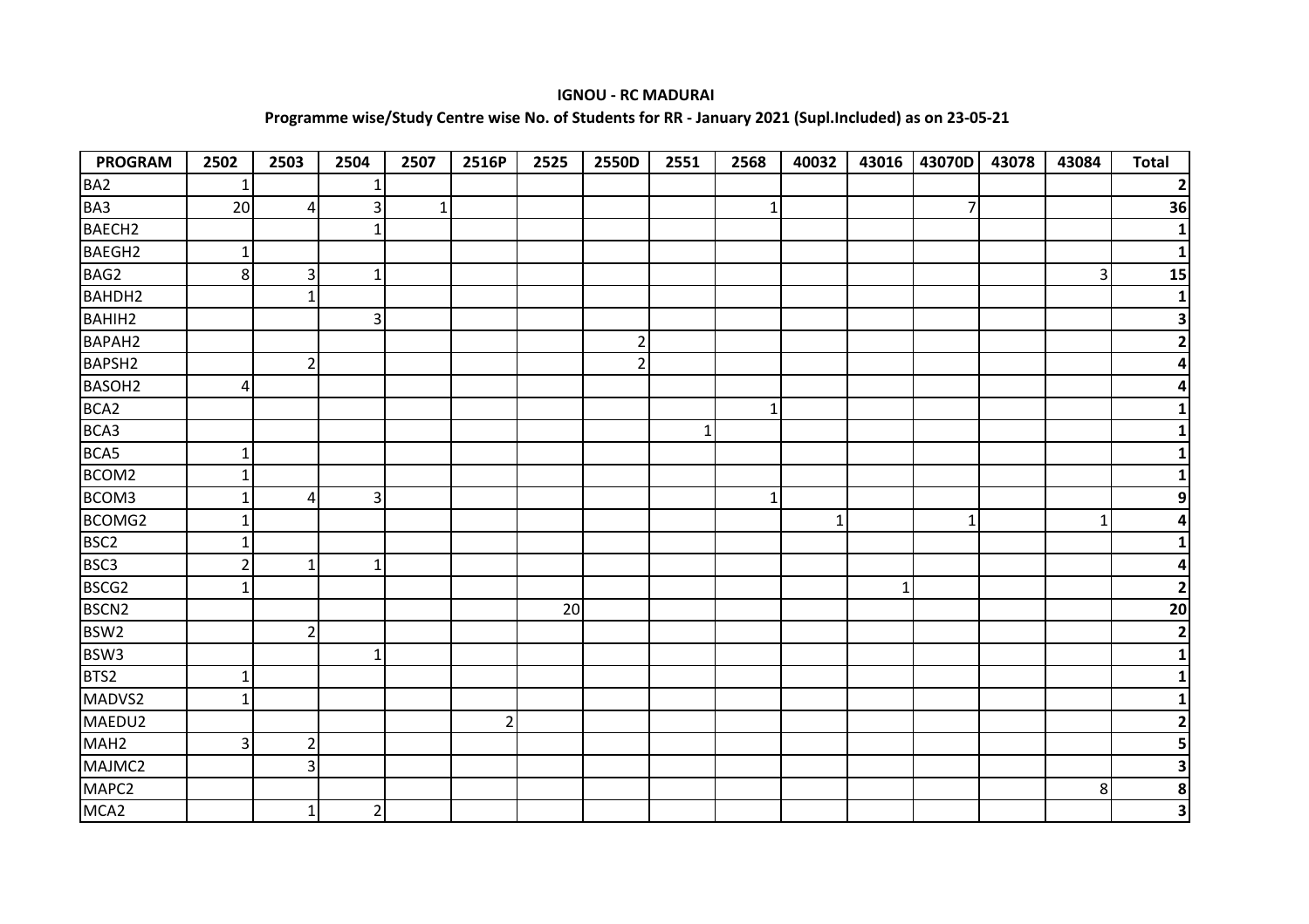## **IGNOU - RC MADURAI**

## **Programme wise/Study Centre wise No. of Students for RR - January 2021 (Supl.Included) as on 23-05-21**

| <b>PROGRAM</b>     | 2502           | 2503           | 2504         | 2507 | 2516P          | 2525 | 2550D          | 2551 | 2568         | 40032 | 43016        | 43070D | 43078 | 43084          | <b>Total</b>            |
|--------------------|----------------|----------------|--------------|------|----------------|------|----------------|------|--------------|-------|--------------|--------|-------|----------------|-------------------------|
| BA <sub>2</sub>    | 1              |                | 1            |      |                |      |                |      |              |       |              |        |       |                | $\overline{\mathbf{2}}$ |
| BA3                | 20             | 4              | 3            | 1    |                |      |                |      | 1            |       |              | 7      |       |                | 36                      |
| BAECH <sub>2</sub> |                |                | $\mathbf{1}$ |      |                |      |                |      |              |       |              |        |       |                | $\mathbf{1}$            |
| BAEGH2             | $\mathbf{1}$   |                |              |      |                |      |                |      |              |       |              |        |       |                | $\mathbf 1$             |
| BAG2               | 8              | 3              | $\mathbf{1}$ |      |                |      |                |      |              |       |              |        |       | 3              | 15                      |
| BAHDH2             |                | $\mathbf{1}$   |              |      |                |      |                |      |              |       |              |        |       |                | 1                       |
| <b>BAHIH2</b>      |                |                | 3            |      |                |      |                |      |              |       |              |        |       |                | 3                       |
| BAPAH2             |                |                |              |      |                |      | 2              |      |              |       |              |        |       |                | $\overline{2}$          |
| BAPSH <sub>2</sub> |                | $\overline{2}$ |              |      |                |      | $\overline{2}$ |      |              |       |              |        |       |                |                         |
| BASOH <sub>2</sub> | 4              |                |              |      |                |      |                |      |              |       |              |        |       |                |                         |
| BCA <sub>2</sub>   |                |                |              |      |                |      |                |      | $\mathbf{1}$ |       |              |        |       |                |                         |
| BCA3               |                |                |              |      |                |      |                | 1    |              |       |              |        |       |                |                         |
| BCA5               | 1              |                |              |      |                |      |                |      |              |       |              |        |       |                |                         |
| BCOM2              | $\mathbf 1$    |                |              |      |                |      |                |      |              |       |              |        |       |                |                         |
| BCOM3              | $\mathbf 1$    | 4              | 3            |      |                |      |                |      | $\mathbf{1}$ |       |              |        |       |                |                         |
| BCOMG2             | 1              |                |              |      |                |      |                |      |              | 1     |              | 1      |       | 1              |                         |
| BSC <sub>2</sub>   | 1              |                |              |      |                |      |                |      |              |       |              |        |       |                |                         |
| BSC <sub>3</sub>   | $\overline{2}$ | 1              | 1            |      |                |      |                |      |              |       |              |        |       |                |                         |
| BSCG <sub>2</sub>  |                |                |              |      |                |      |                |      |              |       | $\mathbf{1}$ |        |       |                | $\overline{\mathbf{2}}$ |
| BSCN <sub>2</sub>  |                |                |              |      |                | 20   |                |      |              |       |              |        |       |                | 20                      |
| BSW <sub>2</sub>   |                | $\overline{2}$ |              |      |                |      |                |      |              |       |              |        |       |                | $\overline{2}$          |
| BSW3               |                |                | 1            |      |                |      |                |      |              |       |              |        |       |                | 1                       |
| BTS2               | 1              |                |              |      |                |      |                |      |              |       |              |        |       |                | 1                       |
| MADVS2             | $\mathbf{1}$   |                |              |      |                |      |                |      |              |       |              |        |       |                |                         |
| MAEDU2             |                |                |              |      | $\overline{2}$ |      |                |      |              |       |              |        |       |                | $\overline{2}$          |
| MAH <sub>2</sub>   | 3              | $\overline{2}$ |              |      |                |      |                |      |              |       |              |        |       |                | 5                       |
| MAJMC2             |                | 3              |              |      |                |      |                |      |              |       |              |        |       |                | 3                       |
| MAPC2              |                |                |              |      |                |      |                |      |              |       |              |        |       | 8 <sup>1</sup> | 8                       |
| MCA <sub>2</sub>   |                | 1              | $\mathbf{2}$ |      |                |      |                |      |              |       |              |        |       |                | $\overline{\mathbf{3}}$ |